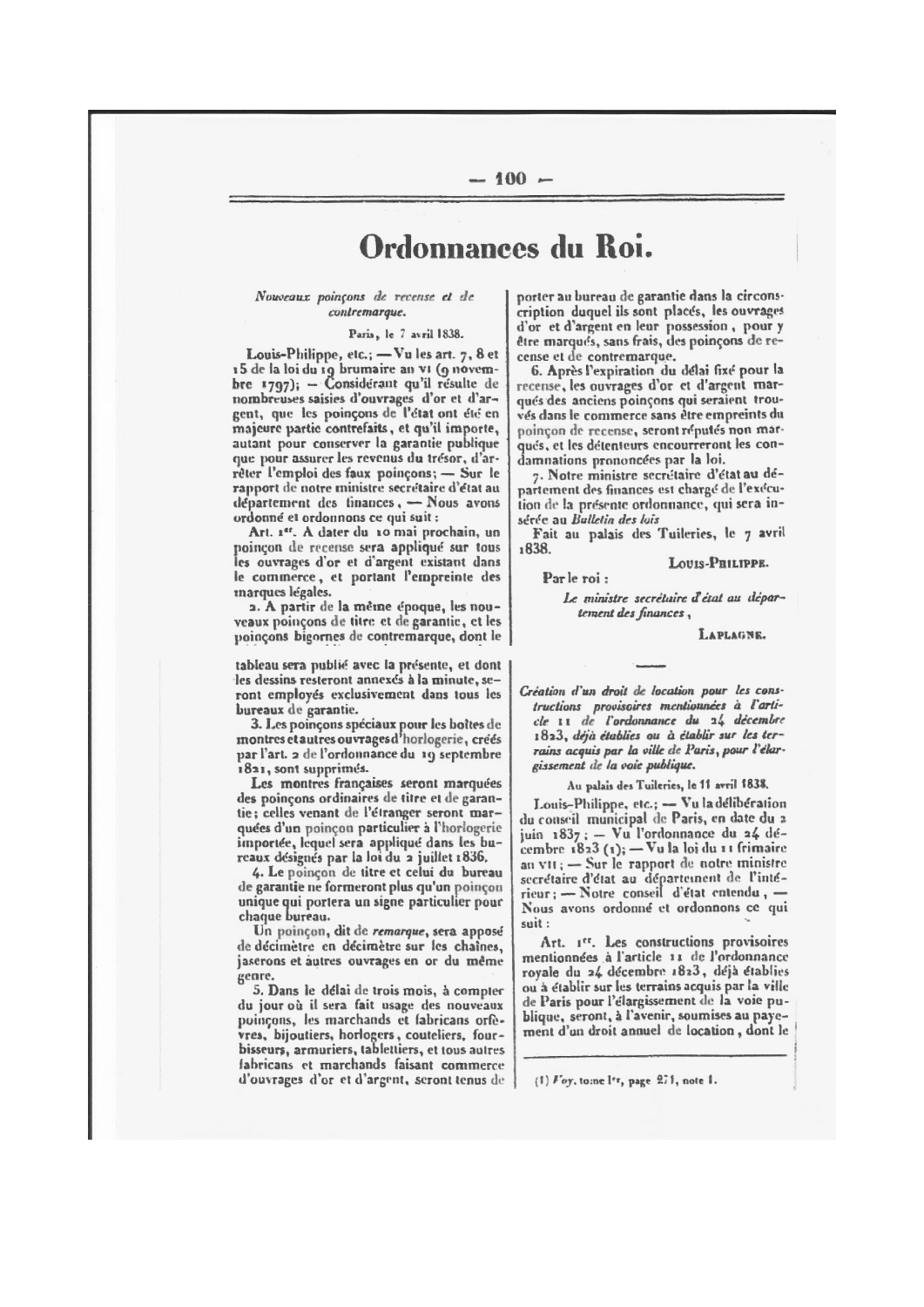# Ordonnances du Roi.

#### Nouveaux poinçons de recense et de contremarque.

Paris, le 7 avril 1838.

Louis-Philippe, etc.; - Vu les art. 7, 8 et 15 de la loi du 19 brumaire an vi (9 novembre 1797); - Considérant qu'il résulte de nombreuses saisies d'ouvrages d'or et d'argent, que les poinçons de l'état ont été en majeure partie contrefaits, et qu'il importe, autant pour conserver la garantie publique que pour assurer les revenus du trésor, d'arrêter l'emploi des faux poinçons; - Sur le rapport de notre ministre secrétaire d'état au département des tinances, - Nous avons ordonné et ordonnons ce qui suit :

Art. 1er. A dater du 10 mai prochain, un poinçon de recense sera appliqué sur tous les ouvrages d'or et d'argent existant dans le commerce, et portant l'empreinte des marques légales.

2. A partir de la même époque, les nouveaux poinçons de titre et de garantie, et les poinçons bigornes de contremarque, dont le

tableau sera publié avec la présente, et dont les dessins resteront annexés à la minute, seront employés exclusivement dans tous les bureaux de garantie.

3. Les poinçons spéciaux pour les boîtes de<br>montres etautres ouvrages d'horlogerie, créés par l'art. 2 de l'ordonnance du 19 septembre 1821, sont supprimes.

Les montres françaises seront marquées des poincons ordinaires de titre et de garantie; celles venant de l'étranger seront marquées d'un poincon particulier à l'horlogerie importée, lequel sera appliqué dans les bureaux désignés par la loi du 2 juillet 1836.

4. Le poinçon de titre et celui du bureau de garantie ne formeront plus qu'un poinçon unique qui portera un signe particulier pour chaque bureau.

Un poinçon, dit de remarque, sera apposé de décimètre en décimètre sur les chaînes. jaserons et autres ouvrages en or du même genre.

5. Dans le délai de trois mois, à compter du jour où il sera fait usage des nouveaux poinçons, les marchands et fabricans orfèvres, bijoutiers, horlogers, couteliers, fourbisseurs, armuriers, tablettiers, et tous autres fabricans et marchands faisant commerce d'ouvrages d'or et d'argent, seront tenus de

porter au bureau de garantie dans la circonscription duquel ils sont places, les ouvrages d'or et d'argent en leur possession, pour y être marqués, sans frais, des poinçons de recense et de contremarque.

6. Après l'expiration du délai fixé pour la recense, les ouvrages d'or et d'argent marqués des anciens poinçons qui seraient trouvés dans le commerce sans être empreints du poinçon de recense, seront réputés non marqués, et les détenteurs encourreront les condamnations prononcées par la loi.

7. Notre ministre secrétaire d'état au département des finances est chargé de l'exécution de la présente ordonnance, qui sera insérée au Bulletin des lois

Fait au palais des Tuileries, le 7 avril 1838.

LOUIS-PHILIPPE.

Par le roi :

Le ministre secrétaire d'état au département des finances,

LAPLAGNE.

Création d'un droit de location pour les constructions provisoires mentionnées à l'arti-<br>cle 11 de l'ordonnance du 24 décembre 1823, déjà établies ou à établir sur les terrains acquis par la ville de Paris, pour l'élargissement de la voie publique.

Au palais des Tuileries, le 11 avril 1838.

Louis-Philippe, etc.; - Vu la délibération<br>du conseil municipal de Paris, en date du 2 juin 1837; - Vu l'ordonnance du 24 dé-<br>cembre 1823 (1); - Vu la loi du 11 frimaire an VII; - Sur le rapport de notre ministre secrétaire d'état au département de l'intérieur : - Notre conseil d'état entendu, -Nous avons ordonné et ordonnons ce qui suit:

Art. 1er. Les constructions provisoires mentionnées à l'article 11 de l'ordonnance royale du 24 décembre 1823, déjà établies ou à établir sur les terrains acquis par la ville de Paris pour l'élargissement de la voie publique, seront, à l'avenir, soumises au payement d'un droit annuel de location, dont le

(1)  $For$ , tome l'r, page 271, note 1.

### $-100 -$